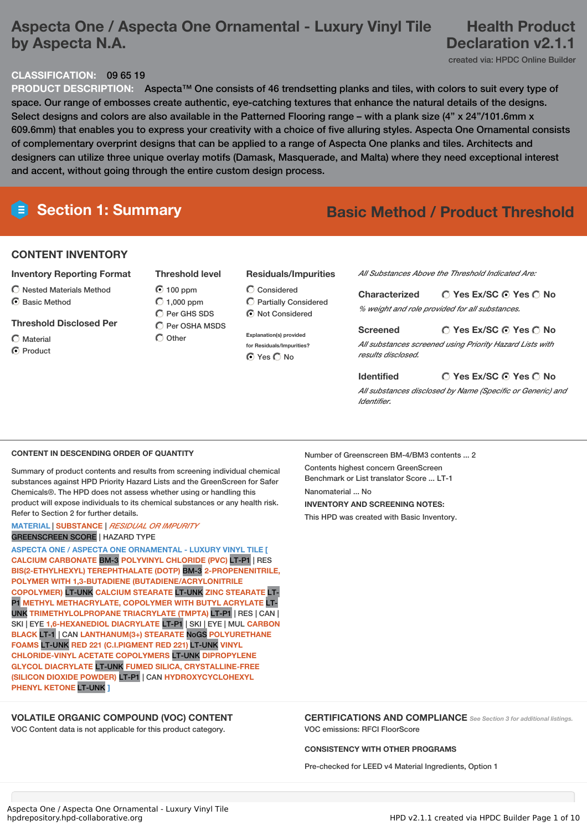## **Aspecta One / Aspecta One Ornamental - Luxury Vinyl Tile by Aspecta N.A.**

## **Health Product Declaration v2.1.1**

created via: HPDC Online Builder

### **CLASSIFICATION:** 09 65 19

**PRODUCT DESCRIPTION:** Aspecta™ One consists of 46 trendsetting planks and tiles, with colors to suit every type of space. Our range of embosses create authentic, eye-catching textures that enhance the natural details of the designs. Select designs and colors are also available in the Patterned Flooring range – with a plank size (4" x 24"/101.6mm x 609.6mm) that enables you to express your creativity with a choice of five alluring styles. Aspecta One Ornamental consists of complementary overprint designs that can be applied to a range of Aspecta One planks and tiles. Architects and designers can utilize three unique overlay motifs (Damask, Masquerade, and Malta) where they need exceptional interest and accent, without going through the entire custom design process.

## **Section 1: Summary Basic Method / Product Threshold**

### **CONTENT INVENTORY**

- **Inventory Reporting Format**
- Nested Materials Method
- ◯ Basic Method
- **Threshold Disclosed Per**
- $\bigcap$  Material C Product
- **Threshold level**
- $O$  100 ppm  $\bigcirc$  1,000 ppm C Per GHS SDS  $\bigcirc$  Per OSHA MSDS  $\bigcirc$  Other
- Considered Partially Considered

**Residuals/Impurities**

- $\bigcirc$  Not Considered **Explanation(s) provided for Residuals/Impurities?**
- ⊙ Yes O No

*All Substances Above the Threshold Indicated Are:*

| <b>Characterized</b> | $\bigcirc$ Yes Ex/SC $\bigcirc$ Yes $\bigcirc$ No |
|----------------------|---------------------------------------------------|
|                      | % weight and role provided for all substances.    |

**Yes Ex/SC Yes No Screened** *All substances screened using Priority Hazard Lists with results disclosed.*

#### **Yes Ex/SC Yes No Identified**

*All substances disclosed by Name (Specific or Generic) and Identifier.*

#### **CONTENT IN DESCENDING ORDER OF QUANTITY**

Summary of product contents and results from screening individual chemical substances against HPD Priority Hazard Lists and the GreenScreen for Safer Chemicals®. The HPD does not assess whether using or handling this product will expose individuals to its chemical substances or any health risk. Refer to Section 2 for further details.

#### **MATERIAL** | **SUBSTANCE** | *RESIDUAL OR IMPURITY* GREENSCREEN SCORE | HAZARD TYPE

**ASPECTA ONE / ASPECTA ONE ORNAMENTAL - LUXURY VINYL TILE [ CALCIUM CARBONATE** BM-3 **POLYVINYL CHLORIDE (PVC)** LT-P1 | RES **BIS(2-ETHYLHEXYL) TEREPHTHALATE (DOTP)** BM-3 **2-PROPENENITRILE, POLYMER WITH 1,3-BUTADIENE (BUTADIENE/ACRYLONITRILE COPOLYMER)** LT-UNK **CALCIUM STEARATE** LT-UNK **ZINC STEARATE** LT-P1 **METHYL METHACRYLATE, COPOLYMER WITH BUTYL ACRYLATE** LT-UNK **TRIMETHYLOLPROPANE TRIACRYLATE (TMPTA)** LT-P1 | RES | CAN | SKI | EYE **1,6-HEXANEDIOL DIACRYLATE** LT-P1 | SKI | EYE | MUL **CARBON BLACK** LT-1 | CAN **LANTHANUM(3+) STEARATE** NoGS **POLYURETHANE FOAMS** LT-UNK **RED 221 (C.I.PIGMENT RED 221)** LT-UNK **VINYL CHLORIDE-VINYL ACETATE COPOLYMERS** LT-UNK **DIPROPYLENE GLYCOL DIACRYLATE** LT-UNK **FUMED SILICA, CRYSTALLINE-FREE (SILICON DIOXIDE POWDER)** LT-P1 | CAN **HYDROXYCYCLOHEXYL PHENYL KETONE** LT-UNK **]**

### **VOLATILE ORGANIC COMPOUND (VOC) CONTENT**

VOC Content data is not applicable for this product category.

Number of Greenscreen BM-4/BM3 contents ... 2 Contents highest concern GreenScreen Benchmark or List translator Score ... LT-1 Nanomaterial No. **INVENTORY AND SCREENING NOTES:** This HPD was created with Basic Inventory.

**CERTIFICATIONS AND COMPLIANCE** *See Section <sup>3</sup> for additional listings.* VOC emissions: RFCI FloorScore

#### **CONSISTENCY WITH OTHER PROGRAMS**

Pre-checked for LEED v4 Material Ingredients, Option 1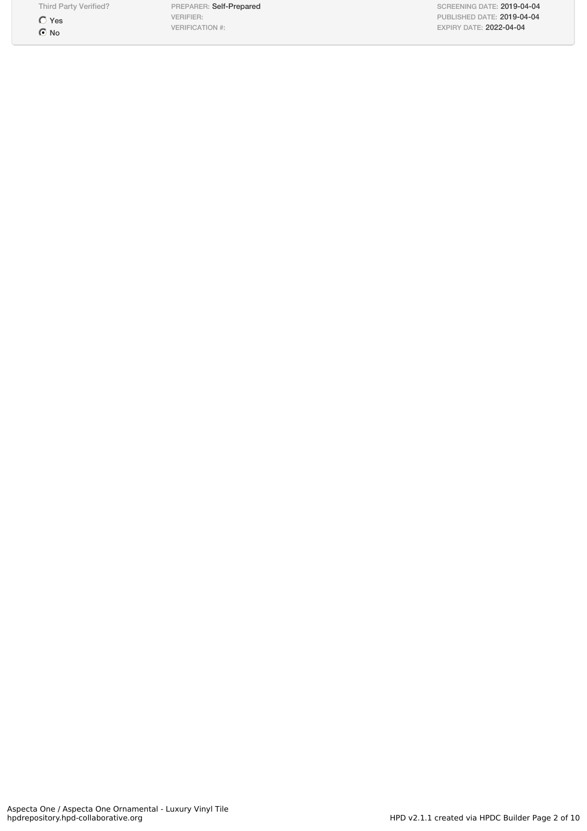$\bigcirc$  Yes  $\odot$  No

Third Party Verified? PREPARER: Self-Prepared VERIFIER: VERIFICATION #:

SCREENING DATE: 2019-04-04 PUBLISHED DATE: 2019-04-04 EXPIRY DATE: 2022-04-04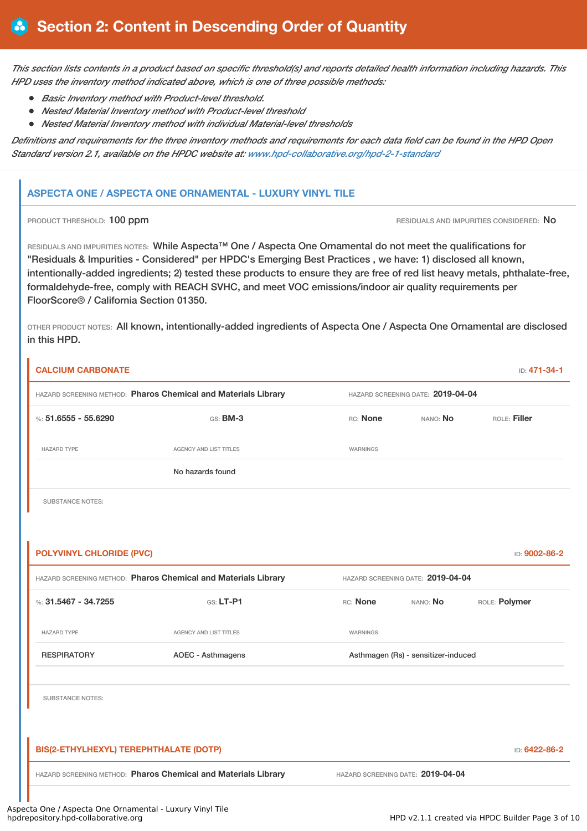This section lists contents in a product based on specific threshold(s) and reports detailed health information including hazards. This *HPD uses the inventory method indicated above, which is one of three possible methods:*

- *Basic Inventory method with Product-level threshold.*
- *Nested Material Inventory method with Product-level threshold*
- *Nested Material Inventory method with individual Material-level thresholds*

Definitions and requirements for the three inventory methods and requirements for each data field can be found in the HPD Open *Standard version 2.1, available on the HPDC website at: [www.hpd-collaborative.org/hpd-2-1-standard](http://www.hpd-collaborative.org/hpd-2-1-standard)*

## **ASPECTA ONE / ASPECTA ONE ORNAMENTAL - LUXURY VINYL TILE**

PRODUCT THRESHOLD: 100 ppm **RESIDUALS AND IMPURITIES CONSIDERED:** No

RESIDUALS AND IMPURITIES NOTES: While Aspecta™ One / Aspecta One Ornamental do not meet the qualifications for "Residuals & Impurities - Considered" per HPDC's Emerging Best Practices , we have: 1) disclosed all known, intentionally-added ingredients; 2) tested these products to ensure they are free of red list heavy metals, phthalate-free, formaldehyde-free, comply with REACH SVHC, and meet VOC emissions/indoor air quality requirements per FloorScore® / California Section 01350.

OTHER PRODUCT NOTES: All known, intentionally-added ingredients of Aspecta One / Aspecta One Ornamental are disclosed in this HPD.

| <b>CALCIUM CARBONATE</b>               |                                                                |                                   |                                     | ID: 471-34-1  |
|----------------------------------------|----------------------------------------------------------------|-----------------------------------|-------------------------------------|---------------|
|                                        | HAZARD SCREENING METHOD: Pharos Chemical and Materials Library |                                   | HAZARD SCREENING DATE: 2019-04-04   |               |
| %: $51.6555 - 55.6290$                 | GS: BM-3                                                       | RC: None                          | NANO: No                            | ROLE: Filler  |
| <b>HAZARD TYPE</b>                     | AGENCY AND LIST TITLES                                         | WARNINGS                          |                                     |               |
|                                        | No hazards found                                               |                                   |                                     |               |
| <b>SUBSTANCE NOTES:</b>                |                                                                |                                   |                                     |               |
|                                        |                                                                |                                   |                                     |               |
| <b>POLYVINYL CHLORIDE (PVC)</b>        |                                                                |                                   |                                     | ID: 9002-86-2 |
|                                        | HAZARD SCREENING METHOD: Pharos Chemical and Materials Library | HAZARD SCREENING DATE: 2019-04-04 |                                     |               |
| %: 31.5467 - 34.7255                   | <b>GS: LT-P1</b>                                               | RC: None                          | NANO: No                            | ROLE: Polymer |
| <b>HAZARD TYPE</b>                     | AGENCY AND LIST TITLES                                         | WARNINGS                          |                                     |               |
| <b>RESPIRATORY</b>                     | <b>AOEC - Asthmagens</b>                                       |                                   | Asthmagen (Rs) - sensitizer-induced |               |
| <b>SUBSTANCE NOTES:</b>                |                                                                |                                   |                                     |               |
| BIS(2-ETHYLHEXYL) TEREPHTHALATE (DOTP) |                                                                |                                   |                                     | ID: 6422-86-2 |
|                                        | HAZARD SCREENING METHOD: Pharos Chemical and Materials Library |                                   | HAZARD SCREENING DATE: 2019-04-04   |               |
|                                        | $\sim$ $\sim$ $\sim$ $\sim$<br>$\sim$ $\sim$<br>$\cdots$       |                                   |                                     |               |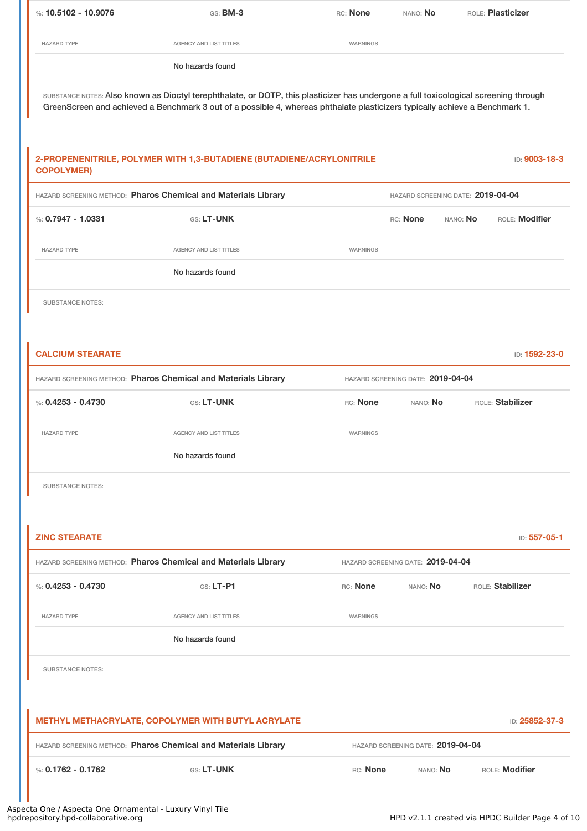| %: $10.5102 - 10.9076$  | GS: BM-3                                                                                                                                                                                                                                                            | RC: None | NANO: No                          |          | ROLE: Plasticizer |
|-------------------------|---------------------------------------------------------------------------------------------------------------------------------------------------------------------------------------------------------------------------------------------------------------------|----------|-----------------------------------|----------|-------------------|
| <b>HAZARD TYPE</b>      | AGENCY AND LIST TITLES                                                                                                                                                                                                                                              | WARNINGS |                                   |          |                   |
|                         | No hazards found                                                                                                                                                                                                                                                    |          |                                   |          |                   |
|                         | SUBSTANCE NOTES: Also known as Dioctyl terephthalate, or DOTP, this plasticizer has undergone a full toxicological screening through<br>GreenScreen and achieved a Benchmark 3 out of a possible 4, whereas phthalate plasticizers typically achieve a Benchmark 1. |          |                                   |          |                   |
| <b>COPOLYMER)</b>       | 2-PROPENENITRILE, POLYMER WITH 1,3-BUTADIENE (BUTADIENE/ACRYLONITRILE                                                                                                                                                                                               |          |                                   |          | ID: 9003-18-3     |
|                         | HAZARD SCREENING METHOD: Pharos Chemical and Materials Library                                                                                                                                                                                                      |          | HAZARD SCREENING DATE: 2019-04-04 |          |                   |
| %: $0.7947 - 1.0331$    | GS: LT-UNK                                                                                                                                                                                                                                                          |          | RC: None                          | NANO: No | ROLE: Modifier    |
| <b>HAZARD TYPE</b>      | <b>AGENCY AND LIST TITLES</b>                                                                                                                                                                                                                                       | WARNINGS |                                   |          |                   |
|                         | No hazards found                                                                                                                                                                                                                                                    |          |                                   |          |                   |
| <b>SUBSTANCE NOTES:</b> |                                                                                                                                                                                                                                                                     |          |                                   |          |                   |
|                         |                                                                                                                                                                                                                                                                     |          |                                   |          |                   |
| <b>CALCIUM STEARATE</b> |                                                                                                                                                                                                                                                                     |          |                                   |          | ID: 1592-23-0     |
|                         | HAZARD SCREENING METHOD: Pharos Chemical and Materials Library                                                                                                                                                                                                      |          | HAZARD SCREENING DATE: 2019-04-04 |          |                   |
| %: $0.4253 - 0.4730$    | GS: LT-UNK                                                                                                                                                                                                                                                          | RC: None | NANO: No                          |          | ROLE: Stabilizer  |
| <b>HAZARD TYPE</b>      | AGENCY AND LIST TITLES                                                                                                                                                                                                                                              | WARNINGS |                                   |          |                   |
|                         | No hazards found                                                                                                                                                                                                                                                    |          |                                   |          |                   |
| <b>SUBSTANCE NOTES:</b> |                                                                                                                                                                                                                                                                     |          |                                   |          |                   |
|                         |                                                                                                                                                                                                                                                                     |          |                                   |          |                   |
| <b>ZINC STEARATE</b>    |                                                                                                                                                                                                                                                                     |          |                                   |          | ID: 557-05-1      |
|                         | HAZARD SCREENING METHOD: Pharos Chemical and Materials Library                                                                                                                                                                                                      |          | HAZARD SCREENING DATE: 2019-04-04 |          |                   |
| %: $0.4253 - 0.4730$    | GS: LT-P1                                                                                                                                                                                                                                                           | RC: None | NANO: No                          |          | ROLE: Stabilizer  |
| <b>HAZARD TYPE</b>      | <b>AGENCY AND LIST TITLES</b>                                                                                                                                                                                                                                       | WARNINGS |                                   |          |                   |
|                         | No hazards found                                                                                                                                                                                                                                                    |          |                                   |          |                   |
| <b>SUBSTANCE NOTES:</b> |                                                                                                                                                                                                                                                                     |          |                                   |          |                   |
|                         |                                                                                                                                                                                                                                                                     |          |                                   |          |                   |
|                         | METHYL METHACRYLATE, COPOLYMER WITH BUTYL ACRYLATE                                                                                                                                                                                                                  |          |                                   |          | ID: 25852-37-3    |
|                         | HAZARD SCREENING METHOD: Pharos Chemical and Materials Library                                                                                                                                                                                                      |          | HAZARD SCREENING DATE: 2019-04-04 |          |                   |
|                         |                                                                                                                                                                                                                                                                     |          |                                   |          |                   |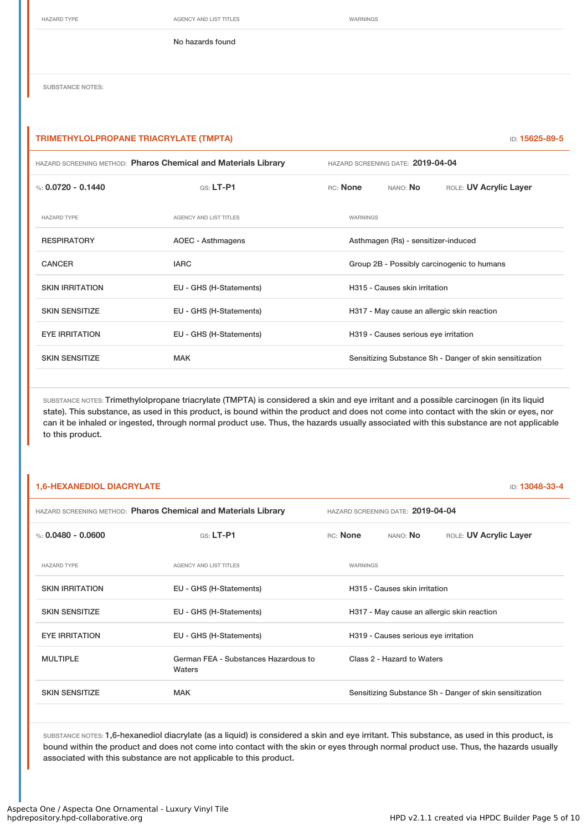HAZARD TYPE **AGENCY AND LIST TITLES** WARNINGS

No hazards found

SUBSTANCE NOTES:

#### **TRIMETHYLOLPROPANE TRIACRYLATE (TMPTA)** ID: **15625-89-5**

|                        | HAZARD SCREENING METHOD: Pharos Chemical and Materials Library | HAZARD SCREENING DATE: 2019-04-04 |                                      |                                                         |
|------------------------|----------------------------------------------------------------|-----------------------------------|--------------------------------------|---------------------------------------------------------|
| %: $0.0720 - 0.1440$   | GS: LT-P1                                                      | RC: None                          | NANO: No                             | ROLE: UV Acrylic Layer                                  |
| <b>HAZARD TYPE</b>     | <b>AGENCY AND LIST TITLES</b>                                  | WARNINGS                          |                                      |                                                         |
| <b>RESPIRATORY</b>     | AOEC - Asthmagens                                              |                                   | Asthmagen (Rs) - sensitizer-induced  |                                                         |
| <b>CANCER</b>          | <b>IARC</b>                                                    |                                   |                                      | Group 2B - Possibly carcinogenic to humans              |
| <b>SKIN IRRITATION</b> | EU - GHS (H-Statements)                                        |                                   | H315 - Causes skin irritation        |                                                         |
| <b>SKIN SENSITIZE</b>  | EU - GHS (H-Statements)                                        |                                   |                                      | H317 - May cause an allergic skin reaction              |
| <b>EYE IRRITATION</b>  | EU - GHS (H-Statements)                                        |                                   | H319 - Causes serious eye irritation |                                                         |
| <b>SKIN SENSITIZE</b>  | <b>MAK</b>                                                     |                                   |                                      | Sensitizing Substance Sh - Danger of skin sensitization |
|                        |                                                                |                                   |                                      |                                                         |

SUBSTANCE NOTES: Trimethylolpropane triacrylate (TMPTA) is considered a skin and eye irritant and a possible carcinogen (in its liquid state). This substance, as used in this product, is bound within the product and does not come into contact with the skin or eyes, nor can it be inhaled or ingested, through normal product use. Thus, the hazards usually associated with this substance are not applicable to this product.

#### **1,6-HEXANEDIOL DIACRYLATE** ID: **13048-33-4**

| HAZARD SCREENING METHOD: Pharos Chemical and Materials Library |                                                | HAZARD SCREENING DATE: 2019-04-04 |          |                                      |                                                         |
|----------------------------------------------------------------|------------------------------------------------|-----------------------------------|----------|--------------------------------------|---------------------------------------------------------|
| %: $0.0480 - 0.0600$                                           | $G.S.$ LT-P1                                   |                                   | RC: None | NANO: <b>No</b>                      | ROLE: UV Acrylic Layer                                  |
| <b>HAZARD TYPE</b>                                             | <b>AGENCY AND LIST TITLES</b>                  |                                   | WARNINGS |                                      |                                                         |
| <b>SKIN IRRITATION</b>                                         | EU - GHS (H-Statements)                        |                                   |          | H315 - Causes skin irritation        |                                                         |
| <b>SKIN SENSITIZE</b>                                          | EU - GHS (H-Statements)                        |                                   |          |                                      | H317 - May cause an allergic skin reaction              |
| <b>EYE IRRITATION</b>                                          | EU - GHS (H-Statements)                        |                                   |          | H319 - Causes serious eye irritation |                                                         |
| <b>MULTIPLE</b>                                                | German FEA - Substances Hazardous to<br>Waters |                                   |          | Class 2 - Hazard to Waters           |                                                         |
| <b>SKIN SENSITIZE</b>                                          | <b>MAK</b>                                     |                                   |          |                                      | Sensitizing Substance Sh - Danger of skin sensitization |

SUBSTANCE NOTES: 1,6-hexanediol diacrylate (as a liquid) is considered a skin and eye irritant. This substance, as used in this product, is bound within the product and does not come into contact with the skin or eyes through normal product use. Thus, the hazards usually associated with this substance are not applicable to this product.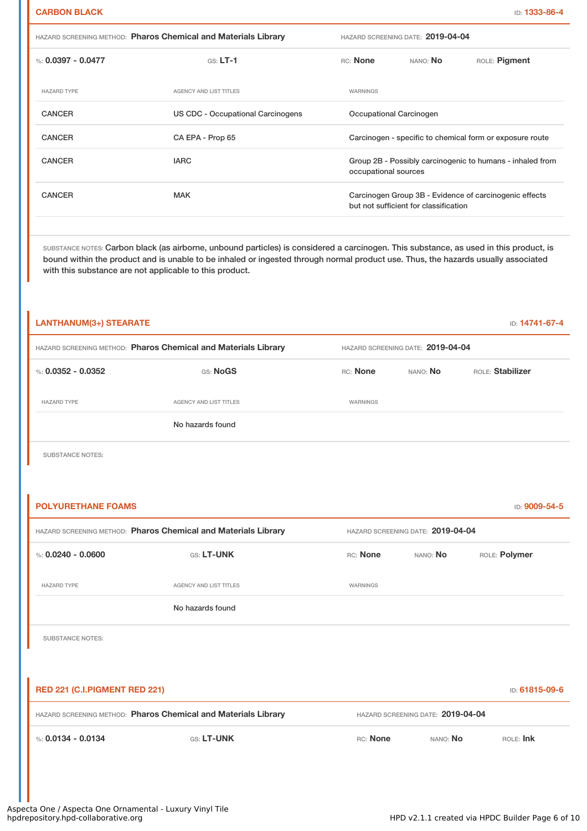| <b>HAZARD SCREENING METHOD: Pharos Chemical and Materials Library</b> |  |
|-----------------------------------------------------------------------|--|
|-----------------------------------------------------------------------|--|

| %: $0.0397 - 0.0477$ | $GS: LT-1$                        | <b>RC:</b> None         | NANO: No                              | ROLE: Pigment                                             |
|----------------------|-----------------------------------|-------------------------|---------------------------------------|-----------------------------------------------------------|
| <b>HAZARD TYPE</b>   | AGENCY AND LIST TITLES            | WARNINGS                |                                       |                                                           |
| <b>CANCER</b>        | US CDC - Occupational Carcinogens | Occupational Carcinogen |                                       |                                                           |
| <b>CANCER</b>        | CA EPA - Prop 65                  |                         |                                       | Carcinogen - specific to chemical form or exposure route  |
| <b>CANCER</b>        | <b>IARC</b>                       | occupational sources    |                                       | Group 2B - Possibly carcinogenic to humans - inhaled from |
| <b>CANCER</b>        | <b>MAK</b>                        |                         | but not sufficient for classification | Carcinogen Group 3B - Evidence of carcinogenic effects    |
|                      |                                   |                         |                                       |                                                           |

HAZARD SCREENING METHOD: **Pharos Chemical and Materials Library** HAZARD SCREENING DATE: **2019-04-04**

SUBSTANCE NOTES: Carbon black (as airborne, unbound particles) is considered a carcinogen. This substance, as used in this product, is bound within the product and is unable to be inhaled or ingested through normal product use. Thus, the hazards usually associated with this substance are not applicable to this product.

| LANTHANUM(3+) STEARATE |                                                                |          |                                   | ID: 14741-67-4   |
|------------------------|----------------------------------------------------------------|----------|-----------------------------------|------------------|
|                        | HAZARD SCREENING METHOD: Pharos Chemical and Materials Library |          | HAZARD SCREENING DATE: 2019-04-04 |                  |
| %: 0.0352 - 0.0352     | GS: NoGS                                                       | RC: None | NANO: No                          | ROLE: Stabilizer |
| <b>HAZARD TYPE</b>     | AGENCY AND LIST TITLES                                         | WARNINGS |                                   |                  |
|                        | No hazards found                                               |          |                                   |                  |

SUBSTANCE NOTES:

| <b>POLYURETHANE FOAMS</b>     |                                                                |          |                                   | ID: 9009-54-5  |
|-------------------------------|----------------------------------------------------------------|----------|-----------------------------------|----------------|
|                               | HAZARD SCREENING METHOD: Pharos Chemical and Materials Library |          | HAZARD SCREENING DATE: 2019-04-04 |                |
| %: $0.0240 - 0.0600$          | <b>GS: LT-UNK</b>                                              | RC: None | NANO: No                          | ROLE: Polymer  |
| <b>HAZARD TYPE</b>            | <b>AGENCY AND LIST TITLES</b>                                  | WARNINGS |                                   |                |
|                               | No hazards found                                               |          |                                   |                |
| <b>SUBSTANCE NOTES:</b>       |                                                                |          |                                   |                |
|                               |                                                                |          |                                   |                |
| RED 221 (C.I.PIGMENT RED 221) |                                                                |          |                                   | ID: 61815-09-6 |
|                               | HAZARD SCREENING METHOD: Pharos Chemical and Materials Library |          | HAZARD SCREENING DATE: 2019-04-04 |                |
| %: $0.0134 - 0.0134$          | GS: LT-UNK                                                     | RC: None | NANO: No                          | ROLE: Ink      |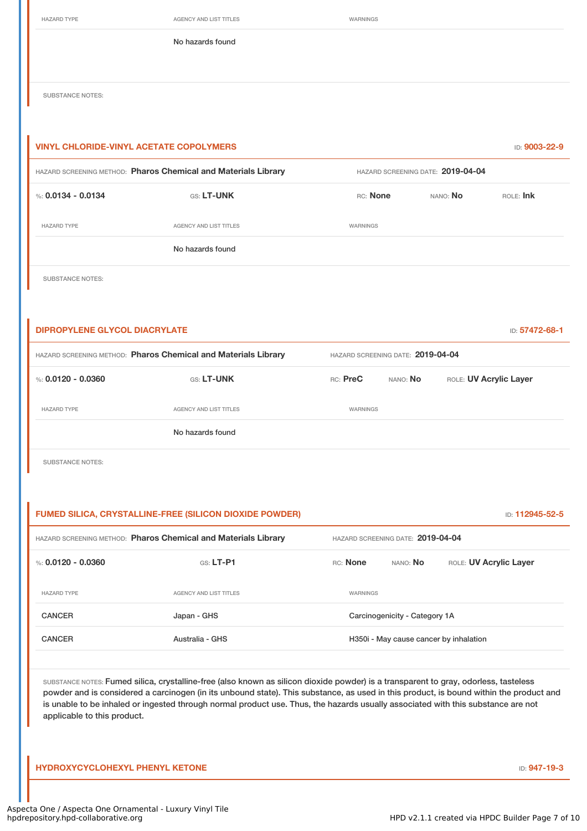| HAZARD TYPE |
|-------------|
|-------------|

AGENCY AND LIST TITLES WARNINGS

No hazards found

SUBSTANCE NOTES:

| <b>VINYL CHLORIDE-VINYL ACETATE COPOLYMERS</b> |                                                                |          |                                   | ID: 9003-22-9 |  |
|------------------------------------------------|----------------------------------------------------------------|----------|-----------------------------------|---------------|--|
|                                                | HAZARD SCREENING METHOD: Pharos Chemical and Materials Library |          | HAZARD SCREENING DATE: 2019-04-04 |               |  |
| %: $0.0134 - 0.0134$                           | GS: LT-UNK                                                     | RC: None | NANO: No                          | $ROE$ : Ink   |  |
| <b>HAZARD TYPE</b>                             | AGENCY AND LIST TITLES                                         | WARNINGS |                                   |               |  |
|                                                | No hazards found                                               |          |                                   |               |  |
| <b>SUBSTANCE NOTES:</b>                        |                                                                |          |                                   |               |  |

**DIPROPYLENE GLYCOL DIACRYLATE** ID: **57472-68-1** HAZARD SCREENING METHOD: **Pharos Chemical and Materials Library** HAZARD SCREENING DATE: **2019-04-04** %: **0.0120 - 0.0360** GS: LT-UNK RC: PreC NANO: No ROLE: UV Acrylic Layer HAZARD TYPE **AGENCY AND LIST TITLES** WARNINGS No hazards found

SUBSTANCE NOTES:

#### **FUMED SILICA, CRYSTALLINE-FREE (SILICON DIOXIDE POWDER)** ID: **112945-52-5**

| HAZARD SCREENING METHOD: Pharos Chemical and Materials Library |                        | HAZARD SCREENING DATE: 2019-04-04      |                               |                        |
|----------------------------------------------------------------|------------------------|----------------------------------------|-------------------------------|------------------------|
| %: $0.0120 - 0.0360$                                           | $GS: LT-P1$            | RC: None                               | NANO: No                      | ROLE: UV Acrylic Layer |
| <b>HAZARD TYPE</b>                                             | AGENCY AND LIST TITLES | WARNINGS                               |                               |                        |
| <b>CANCER</b>                                                  | Japan - GHS            |                                        | Carcinogenicity - Category 1A |                        |
| <b>CANCER</b>                                                  | Australia - GHS        | H350i - May cause cancer by inhalation |                               |                        |
|                                                                |                        |                                        |                               |                        |

SUBSTANCE NOTES: Fumed silica, crystalline-free (also known as silicon dioxide powder) is a transparent to gray, odorless, tasteless powder and is considered a carcinogen (in its unbound state). This substance, as used in this product, is bound within the product and is unable to be inhaled or ingested through normal product use. Thus, the hazards usually associated with this substance are not applicable to this product.

**HYDROXYCYCLOHEXYL PHENYL KETONE** ID: **947-19-3**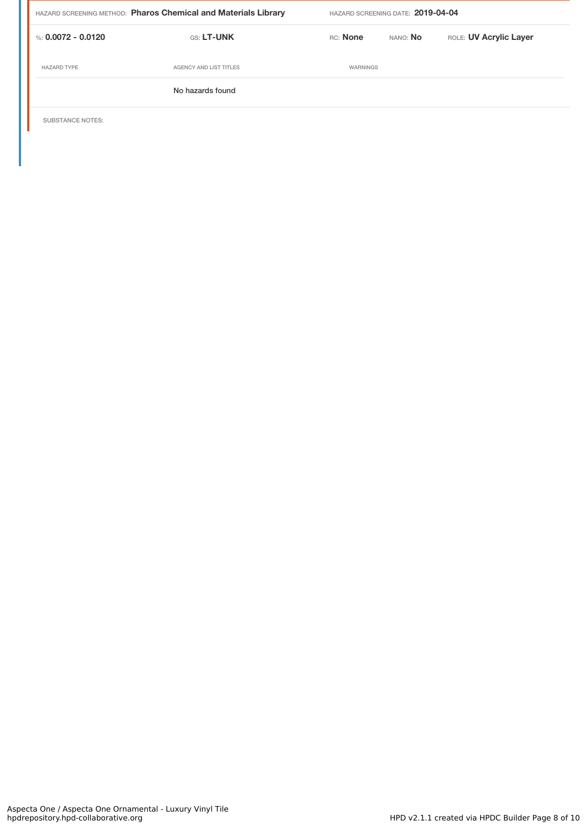| HAZARD SCREENING METHOD: Pharos Chemical and Materials Library |                        | HAZARD SCREENING DATE: 2019-04-04 |                 |                        |  |
|----------------------------------------------------------------|------------------------|-----------------------------------|-----------------|------------------------|--|
| %: 0.0072 - 0.0120                                             | <b>GS: LT-UNK</b>      | RC: None                          | NANO: <b>No</b> | ROLE: UV Acrylic Layer |  |
| <b>HAZARD TYPE</b>                                             | AGENCY AND LIST TITLES | WARNINGS                          |                 |                        |  |
|                                                                | No hazards found       |                                   |                 |                        |  |

SUBSTANCE NOTES: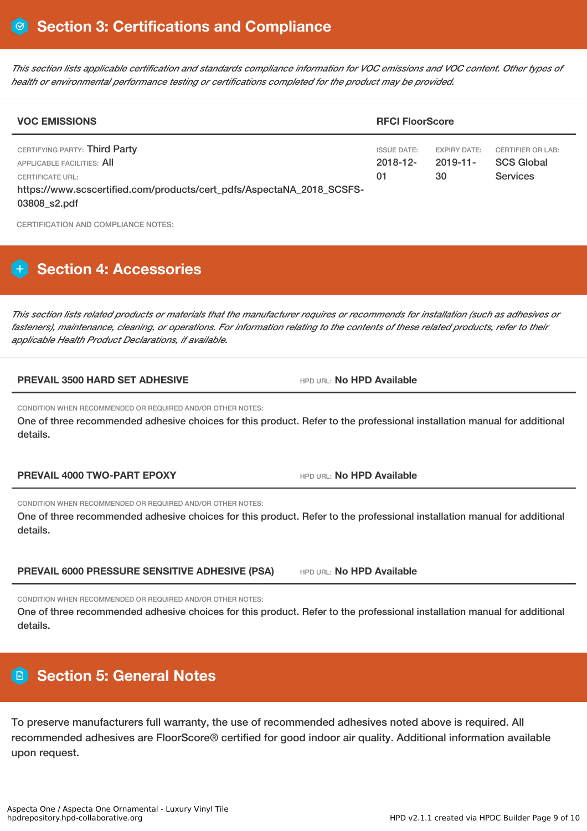This section lists applicable certification and standards compliance information for VOC emissions and VOC content. Other types of *health or environmental performance testing or certifications completed for the product may be provided.*

| <b>VOC EMISSIONS</b>                                                                                                                                                     |                                         | <b>RFCI FloorScore</b>                   |                                                                  |  |  |
|--------------------------------------------------------------------------------------------------------------------------------------------------------------------------|-----------------------------------------|------------------------------------------|------------------------------------------------------------------|--|--|
| CERTIFYING PARTY: Third Party<br>APPLICABLE FACILITIES: AII<br>CERTIFICATE URL:<br>https://www.scscertified.com/products/cert_pdfs/AspectaNA_2018_SCSFS-<br>03808_s2.pdf | <b>ISSUE DATE:</b><br>$2018 - 12$<br>01 | <b>EXPIRY DATE:</b><br>$2019 - 11$<br>30 | <b>CERTIFIER OR LAB:</b><br><b>SCS Global</b><br><b>Services</b> |  |  |

CERTIFICATION AND COMPLIANCE NOTES:

# **H** Section 4: Accessories

This section lists related products or materials that the manufacturer requires or recommends for installation (such as adhesives or fasteners), maintenance, cleaning, or operations. For information relating to the contents of these related products, refer to their *applicable Health Product Declarations, if available.*

### **PREVAIL 3500 HARD SET ADHESIVE** HPD URL: **No HPD Available**

CONDITION WHEN RECOMMENDED OR REQUIRED AND/OR OTHER NOTES:

One of three recommended adhesive choices for this product. Refer to the professional installation manual for additional details.

**PREVAIL 4000 TWO-PART EPOXY** HPD URL: **No HPD Available**

CONDITION WHEN RECOMMENDED OR REQUIRED AND/OR OTHER NOTES:

One of three recommended adhesive choices for this product. Refer to the professional installation manual for additional details.

**PREVAIL 6000 PRESSURE SENSITIVE ADHESIVE (PSA)** HPD URL: **No HPD Available**

CONDITION WHEN RECOMMENDED OR REQUIRED AND/OR OTHER NOTES:

One of three recommended adhesive choices for this product. Refer to the professional installation manual for additional details.

## **Section 5: General Notes**

To preserve manufacturers full warranty, the use of recommended adhesives noted above is required. All recommended adhesives are FloorScore® certified for good indoor air quality. Additional information available upon request.